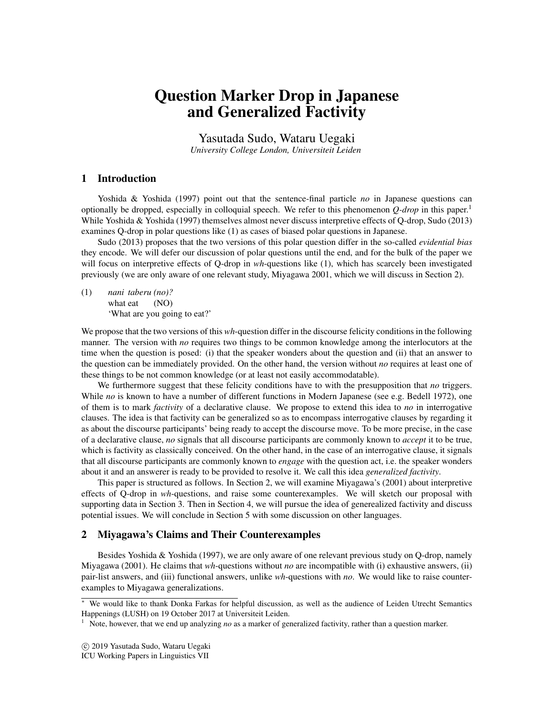# Question Marker Drop in Japanese and Generalized Factivity

Yasutada Sudo, Wataru Uegaki *University College London, Universiteit Leiden*

## 1 Introduction

Yoshida & Yoshida (1997) point out that the sentence-final particle *no* in Japanese questions can optionally be dropped, especially in colloquial speech. We refer to this phenomenon  $Q\text{-}drop$  in this paper.<sup>1</sup> While Yoshida & Yoshida (1997) themselves almost never discuss interpretive effects of Q-drop, Sudo (2013) examines Q-drop in polar questions like (1) as cases of biased polar questions in Japanese.

Sudo (2013) proposes that the two versions of this polar question differ in the so-called *evidential bias* they encode. We will defer our discussion of polar questions until the end, and for the bulk of the paper we will focus on interpretive effects of Q-drop in *wh*-questions like (1), which has scarcely been investigated previously (we are only aware of one relevant study, Miyagawa 2001, which we will discuss in Section 2).

(1) *nani taberu (no)?* what eat (NO) 'What are you going to eat?'

We propose that the two versions of this *wh*-question differ in the discourse felicity conditions in the following manner. The version with *no* requires two things to be common knowledge among the interlocutors at the time when the question is posed: (i) that the speaker wonders about the question and (ii) that an answer to the question can be immediately provided. On the other hand, the version without *no* requires at least one of these things to be not common knowledge (or at least not easily accommodatable).

We furthermore suggest that these felicity conditions have to with the presupposition that *no* triggers. While *no* is known to have a number of different functions in Modern Japanese (see e.g. Bedell 1972), one of them is to mark *factivity* of a declarative clause. We propose to extend this idea to *no* in interrogative clauses. The idea is that factivity can be generalized so as to encompass interrogative clauses by regarding it as about the discourse participants' being ready to accept the discourse move. To be more precise, in the case of a declarative clause, *no* signals that all discourse participants are commonly known to *accept* it to be true, which is factivity as classically conceived. On the other hand, in the case of an interrogative clause, it signals that all discourse participants are commonly known to *engage* with the question act, i.e. the speaker wonders about it and an answerer is ready to be provided to resolve it. We call this idea *generalized factivity*.

This paper is structured as follows. In Section 2, we will examine Miyagawa's (2001) about interpretive effects of Q-drop in *wh*-questions, and raise some counterexamples. We will sketch our proposal with supporting data in Section 3. Then in Section 4, we will pursue the idea of generealized factivity and discuss potential issues. We will conclude in Section 5 with some discussion on other languages.

#### 2 Miyagawa's Claims and Their Counterexamples

Besides Yoshida & Yoshida (1997), we are only aware of one relevant previous study on Q-drop, namely Miyagawa (2001). He claims that *wh*-questions without *no* are incompatible with (i) exhaustive answers, (ii) pair-list answers, and (iii) functional answers, unlike *wh*-questions with *no*. We would like to raise counterexamples to Miyagawa generalizations.

<sup>∗</sup> We would like to thank Donka Farkas for helpful discussion, as well as the audience of Leiden Utrecht Semantics Happenings (LUSH) on 19 October 2017 at Universiteit Leiden.

<sup>1</sup> Note, however, that we end up analyzing *no* as a marker of generalized factivity, rather than a question marker.

c 2019 Yasutada Sudo, Wataru Uegaki

ICU Working Papers in Linguistics VII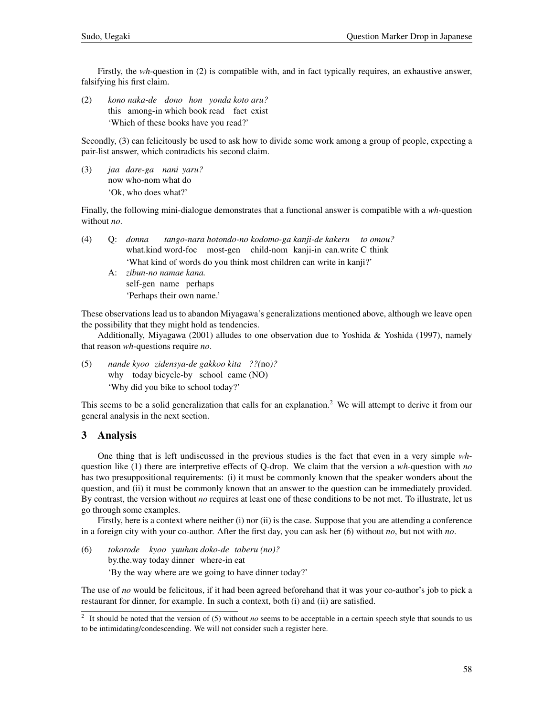Firstly, the *wh*-question in (2) is compatible with, and in fact typically requires, an exhaustive answer, falsifying his first claim.

(2) *kono naka-de dono hon yonda koto aru?* this among-in which book read fact exist 'Which of these books have you read?'

Secondly, (3) can felicitously be used to ask how to divide some work among a group of people, expecting a pair-list answer, which contradicts his second claim.

(3) *jaa dare-ga nani yaru?* now who-nom what do 'Ok, who does what?'

Finally, the following mini-dialogue demonstrates that a functional answer is compatible with a *wh*-question without *no*.

- (4) Q: *donna* what.kind word-foc most-gen child-nom kanji-in can.write C think *tango-nara hotondo-no kodomo-ga kanji-de kakeru to omou?* 'What kind of words do you think most children can write in kanji?'
	- A: *zibun-no namae kana.* self-gen name perhaps 'Perhaps their own name.'

These observations lead us to abandon Miyagawa's generalizations mentioned above, although we leave open the possibility that they might hold as tendencies.

Additionally, Miyagawa (2001) alludes to one observation due to Yoshida & Yoshida (1997), namely that reason *wh*-questions require *no*.

(5) *nande kyoo zidensya-de gakkoo kita ??(*no*)?* why today bicycle-by school came (NO) 'Why did you bike to school today?'

This seems to be a solid generalization that calls for an explanation.<sup>2</sup> We will attempt to derive it from our general analysis in the next section.

### 3 Analysis

One thing that is left undiscussed in the previous studies is the fact that even in a very simple *wh*question like (1) there are interpretive effects of Q-drop. We claim that the version a *wh*-question with *no* has two presuppositional requirements: (i) it must be commonly known that the speaker wonders about the question, and (ii) it must be commonly known that an answer to the question can be immediately provided. By contrast, the version without *no* requires at least one of these conditions to be not met. To illustrate, let us go through some examples.

Firstly, here is a context where neither (i) nor (ii) is the case. Suppose that you are attending a conference in a foreign city with your co-author. After the first day, you can ask her (6) without *no*, but not with *no*.

(6) *tokorode kyoo yuuhan doko-de taberu (no)?* by.the.way today dinner where-in eat 'By the way where are we going to have dinner today?'

The use of *no* would be felicitous, if it had been agreed beforehand that it was your co-author's job to pick a restaurant for dinner, for example. In such a context, both (i) and (ii) are satisfied.

<sup>2</sup> It should be noted that the version of (5) without *no* seems to be acceptable in a certain speech style that sounds to us to be intimidating/condescending. We will not consider such a register here.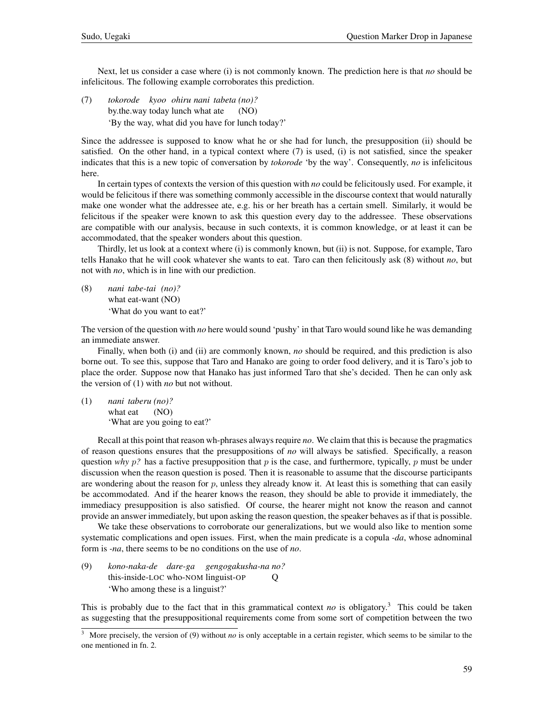Next, let us consider a case where (i) is not commonly known. The prediction here is that *no* should be infelicitous. The following example corroborates this prediction.

(7) *tokorode kyoo ohiru nani tabeta (no)?* by.the.way today lunch what ate (NO) 'By the way, what did you have for lunch today?'

Since the addressee is supposed to know what he or she had for lunch, the presupposition (ii) should be satisfied. On the other hand, in a typical context where (7) is used, (i) is not satisfied, since the speaker indicates that this is a new topic of conversation by *tokorode* 'by the way'. Consequently, *no* is infelicitous here.

In certain types of contexts the version of this question with *no* could be felicitously used. For example, it would be felicitous if there was something commonly accessible in the discourse context that would naturally make one wonder what the addressee ate, e.g. his or her breath has a certain smell. Similarly, it would be felicitous if the speaker were known to ask this question every day to the addressee. These observations are compatible with our analysis, because in such contexts, it is common knowledge, or at least it can be accommodated, that the speaker wonders about this question.

Thirdly, let us look at a context where (i) is commonly known, but (ii) is not. Suppose, for example, Taro tells Hanako that he will cook whatever she wants to eat. Taro can then felicitously ask (8) without *no*, but not with *no*, which is in line with our prediction.

(8) *nani tabe-tai (no)?* what eat-want (NO) 'What do you want to eat?'

The version of the question with *no* here would sound 'pushy' in that Taro would sound like he was demanding an immediate answer.

Finally, when both (i) and (ii) are commonly known, *no* should be required, and this prediction is also borne out. To see this, suppose that Taro and Hanako are going to order food delivery, and it is Taro's job to place the order. Suppose now that Hanako has just informed Taro that she's decided. Then he can only ask the version of (1) with *no* but not without.

(1) *nani taberu (no)?* what eat (NO) 'What are you going to eat?'

Recall at this point that reason wh-phrases always require *no*. We claim that this is because the pragmatics of reason questions ensures that the presuppositions of *no* will always be satisfied. Specifically, a reason question *why*  $p$ ? has a factive presupposition that  $p$  is the case, and furthermore, typically,  $p$  must be under discussion when the reason question is posed. Then it is reasonable to assume that the discourse participants are wondering about the reason for  $p$ , unless they already know it. At least this is something that can easily be accommodated. And if the hearer knows the reason, they should be able to provide it immediately, the immediacy presupposition is also satisfied. Of course, the hearer might not know the reason and cannot provide an answer immediately, but upon asking the reason question, the speaker behaves as if that is possible.

We take these observations to corroborate our generalizations, but we would also like to mention some systematic complications and open issues. First, when the main predicate is a copula *-da*, whose adnominal form is *-na*, there seems to be no conditions on the use of *no*.

(9) *kono-naka-de dare-ga gengogakusha-na no?* this-inside-LOC who-NOM linguist-OP Q 'Who among these is a linguist?'

This is probably due to the fact that in this grammatical context *no* is obligatory.<sup>3</sup> This could be taken as suggesting that the presuppositional requirements come from some sort of competition between the two

<sup>&</sup>lt;sup>3</sup> More precisely, the version of (9) without *no* is only acceptable in a certain register, which seems to be similar to the one mentioned in fn. 2.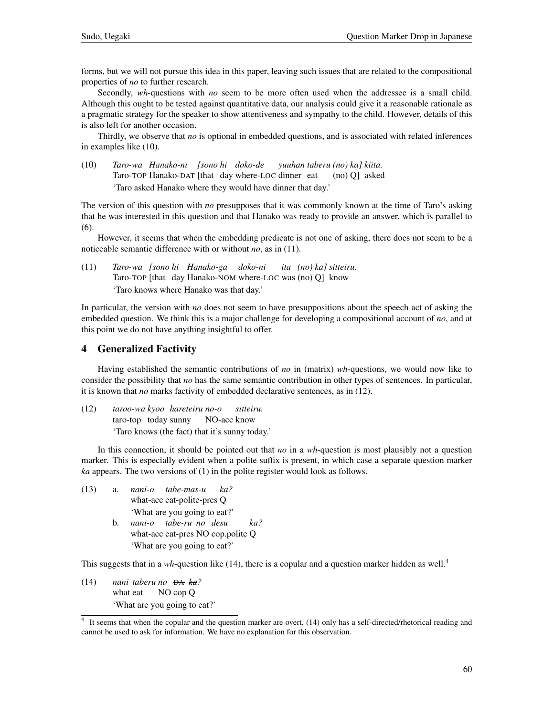forms, but we will not pursue this idea in this paper, leaving such issues that are related to the compositional properties of *no* to further research.

Secondly, *wh*-questions with *no* seem to be more often used when the addressee is a small child. Although this ought to be tested against quantitative data, our analysis could give it a reasonable rationale as a pragmatic strategy for the speaker to show attentiveness and sympathy to the child. However, details of this is also left for another occasion.

Thirdly, we observe that *no* is optional in embedded questions, and is associated with related inferences in examples like (10).

(10) *Taro-wa Hanako-ni [sono hi doko-de* Taro-TOP Hanako-DAT [that day where-LOC dinner eat *yuuhan taberu (no) ka] kiita.* (no) Q] asked 'Taro asked Hanako where they would have dinner that day.'

The version of this question with *no* presupposes that it was commonly known at the time of Taro's asking that he was interested in this question and that Hanako was ready to provide an answer, which is parallel to (6).

However, it seems that when the embedding predicate is not one of asking, there does not seem to be a noticeable semantic difference with or without *no*, as in (11).

(11) *Taro-wa [sono hi Hanako-ga doko-ni* Taro-TOP [that day Hanako-NOM where-LOC was (no) Q] know *ita (no) ka] sitteiru.* 'Taro knows where Hanako was that day.'

In particular, the version with *no* does not seem to have presuppositions about the speech act of asking the embedded question. We think this is a major challenge for developing a compositional account of *no*, and at this point we do not have anything insightful to offer.

## 4 Generalized Factivity

Having established the semantic contributions of *no* in (matrix) *wh*-questions, we would now like to consider the possibility that *no* has the same semantic contribution in other types of sentences. In particular, it is known that *no* marks factivity of embedded declarative sentences, as in (12).

(12) *taroo-wa kyoo hareteiru no-o* taro-top today sunny NO-acc know *sitteiru.* 'Taro knows (the fact) that it's sunny today.'

In this connection, it should be pointed out that *no* in a *wh*-question is most plausibly not a question marker. This is especially evident when a polite suffix is present, in which case a separate question marker *ka* appears. The two versions of (1) in the polite register would look as follows.

(13) a. *nani-o tabe-mas-u* what-acc eat-polite-pres Q *ka?* 'What are you going to eat?' b. *nani-o tabe-ru no desu* what-acc eat-pres NO cop.polite Q *ka?* 'What are you going to eat?'

This suggests that in a *wh*-question like (14), there is a copular and a question marker hidden as well.<sup>4</sup>

(14) *nani taberu no* DA *ka?* what eat NO cop Q 'What are you going to eat?'

<sup>4</sup> It seems that when the copular and the question marker are overt, (14) only has a self-directed/rhetorical reading and cannot be used to ask for information. We have no explanation for this observation.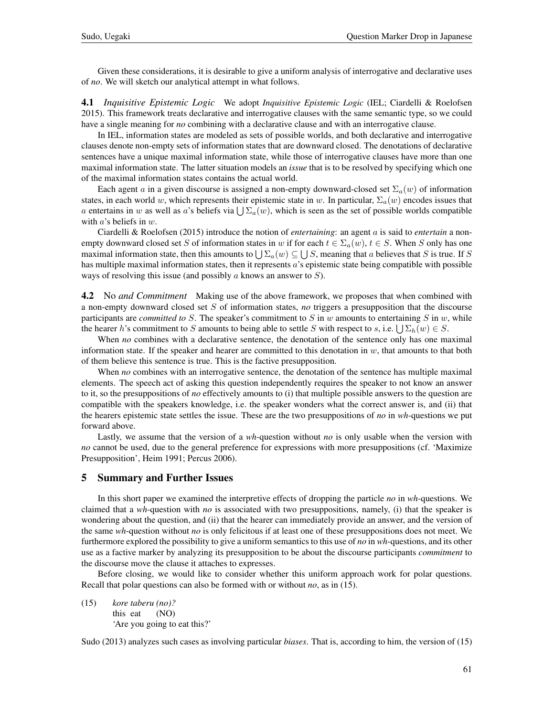Given these considerations, it is desirable to give a uniform analysis of interrogative and declarative uses of *no*. We will sketch our analytical attempt in what follows.

4.1 *Inquisitive Epistemic Logic* We adopt *Inquisitive Epistemic Logic* (IEL; Ciardelli & Roelofsen 2015). This framework treats declarative and interrogative clauses with the same semantic type, so we could have a single meaning for *no* combining with a declarative clause and with an interrogative clause.

In IEL, information states are modeled as sets of possible worlds, and both declarative and interrogative clauses denote non-empty sets of information states that are downward closed. The denotations of declarative sentences have a unique maximal information state, while those of interrogative clauses have more than one maximal information state. The latter situation models an *issue* that is to be resolved by specifying which one of the maximal information states contains the actual world.

Each agent a in a given discourse is assigned a non-empty downward-closed set  $\Sigma_a(w)$  of information states, in each world w, which represents their epistemic state in w. In particular,  $\Sigma_a(w)$  encodes issues that a entertains in w as well as a's beliefs via  $\bigcup \Sigma_a(w)$ , which is seen as the set of possible worlds compatible with  $a$ 's beliefs in  $w$ .

Ciardelli & Roelofsen (2015) introduce the notion of *entertaining*: an agent a is said to *entertain* a nonempty downward closed set S of information states in w if for each  $t \in \Sigma_a(w)$ ,  $t \in S$ . When S only has one maximal information state, then this amounts to  $\bigcup \Sigma_a(w) \subseteq \bigcup S$ , meaning that a believes that S is true. If S has multiple maximal information states, then it represents a's epistemic state being compatible with possible ways of resolving this issue (and possibly  $\alpha$  knows an answer to  $S$ ).

4.2 No *and Commitment* Making use of the above framework, we proposes that when combined with a non-empty downward closed set S of information states, *no* triggers a presupposition that the discourse participants are *committed to*  $S$ . The speaker's commitment to  $S$  in  $w$  amounts to entertaining  $S$  in  $w$ , while the hearer h's commitment to S amounts to being able to settle S with respect to s, i.e.  $\bigcup \Sigma_h(w) \in S$ .

When *no* combines with a declarative sentence, the denotation of the sentence only has one maximal information state. If the speaker and hearer are committed to this denotation in  $w$ , that amounts to that both of them believe this sentence is true. This is the factive presupposition.

When *no* combines with an interrogative sentence, the denotation of the sentence has multiple maximal elements. The speech act of asking this question independently requires the speaker to not know an answer to it, so the presuppositions of *no* effectively amounts to (i) that multiple possible answers to the question are compatible with the speakers knowledge, i.e. the speaker wonders what the correct answer is, and (ii) that the hearers epistemic state settles the issue. These are the two presuppositions of *no* in *wh*-questions we put forward above.

Lastly, we assume that the version of a *wh*-question without *no* is only usable when the version with *no* cannot be used, due to the general preference for expressions with more presuppositions (cf. 'Maximize Presupposition', Heim 1991; Percus 2006).

#### 5 Summary and Further Issues

In this short paper we examined the interpretive effects of dropping the particle *no* in *wh*-questions. We claimed that a *wh*-question with *no* is associated with two presuppositions, namely, (i) that the speaker is wondering about the question, and (ii) that the hearer can immediately provide an answer, and the version of the same *wh*-question without *no* is only felicitous if at least one of these presuppositions does not meet. We furthermore explored the possibility to give a uniform semantics to this use of *no* in *wh*-questions, and its other use as a factive marker by analyzing its presupposition to be about the discourse participants *commitment* to the discourse move the clause it attaches to expresses.

Before closing, we would like to consider whether this uniform approach work for polar questions. Recall that polar questions can also be formed with or without *no*, as in (15).

(15) *kore taberu (no)?* this eat (NO) 'Are you going to eat this?'

Sudo (2013) analyzes such cases as involving particular *biases*. That is, according to him, the version of (15)